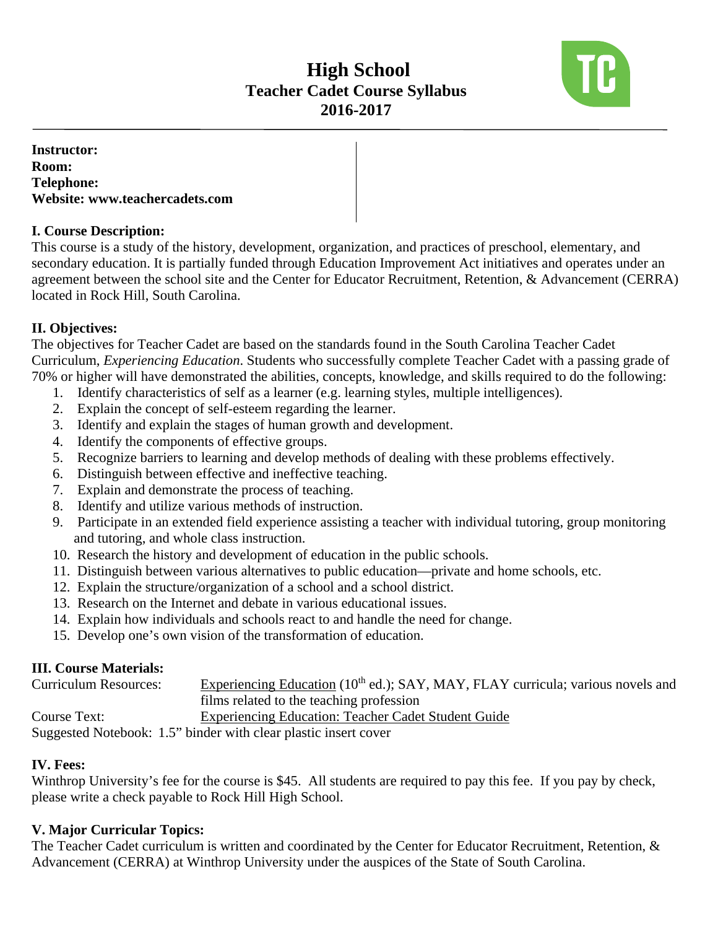# **High School Teacher Cadet Course Syllabus 2016-2017**



**Instructor: Room: Telephone: Website: www.teachercadets.com** 

## **I. Course Description:**

This course is a study of the history, development, organization, and practices of preschool, elementary, and secondary education. It is partially funded through Education Improvement Act initiatives and operates under an agreement between the school site and the Center for Educator Recruitment, Retention, & Advancement (CERRA) located in Rock Hill, South Carolina.

# **II. Objectives:**

The objectives for Teacher Cadet are based on the standards found in the South Carolina Teacher Cadet Curriculum, *Experiencing Education*. Students who successfully complete Teacher Cadet with a passing grade of 70% or higher will have demonstrated the abilities, concepts, knowledge, and skills required to do the following:

- 1. Identify characteristics of self as a learner (e.g. learning styles, multiple intelligences).
- 2. Explain the concept of self-esteem regarding the learner.
- 3. Identify and explain the stages of human growth and development.
- 4. Identify the components of effective groups.
- 5. Recognize barriers to learning and develop methods of dealing with these problems effectively.
- 6. Distinguish between effective and ineffective teaching.
- 7. Explain and demonstrate the process of teaching.
- 8. Identify and utilize various methods of instruction.
- 9. Participate in an extended field experience assisting a teacher with individual tutoring, group monitoring and tutoring, and whole class instruction.
- 10. Research the history and development of education in the public schools.
- 11. Distinguish between various alternatives to public education—private and home schools, etc.
- 12. Explain the structure/organization of a school and a school district.
- 13. Research on the Internet and debate in various educational issues.
- 14. Explain how individuals and schools react to and handle the need for change.
- 15. Develop one's own vision of the transformation of education.

# **III. Course Materials:**

| <b>Curriculum Resources:</b> | Experiencing Education (10 <sup>th</sup> ed.); SAY, MAY, FLAY curricula; various novels and |
|------------------------------|---------------------------------------------------------------------------------------------|
|                              | films related to the teaching profession                                                    |
| Course Text:                 | Experiencing Education: Teacher Cadet Student Guide                                         |
|                              | Supposed Notebook: $1.5$ " binder with clear plastic insert cover                           |

Suggested Notebook: 1.5" binder with clear plastic insert cover

# **IV. Fees:**

Winthrop University's fee for the course is \$45. All students are required to pay this fee. If you pay by check, please write a check payable to Rock Hill High School.

# **V. Major Curricular Topics:**

The Teacher Cadet curriculum is written and coordinated by the Center for Educator Recruitment, Retention, & Advancement (CERRA) at Winthrop University under the auspices of the State of South Carolina.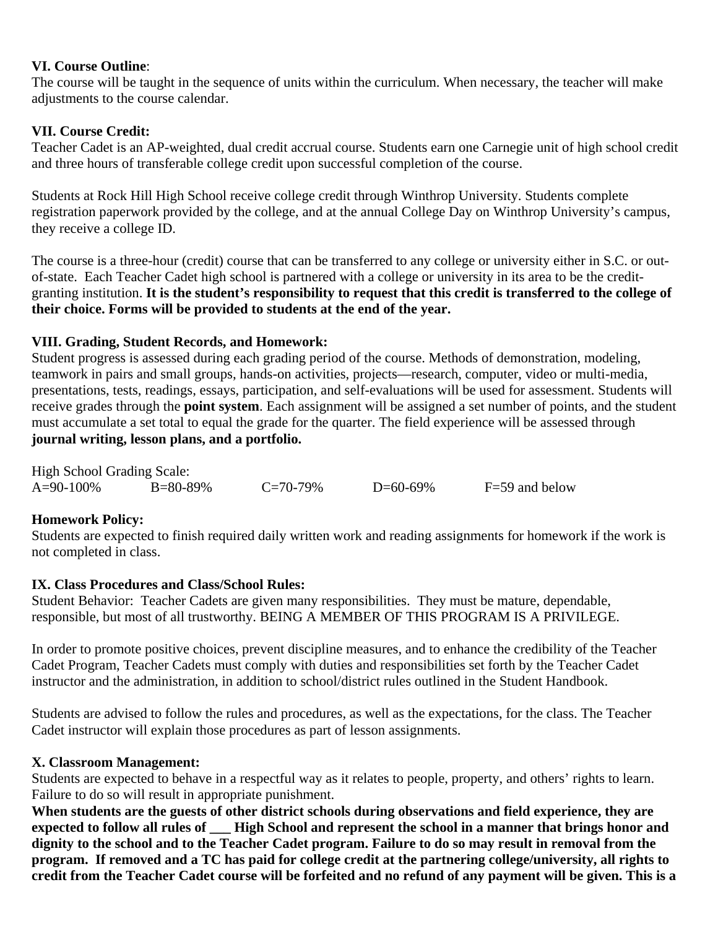#### **VI. Course Outline**:

The course will be taught in the sequence of units within the curriculum. When necessary, the teacher will make adjustments to the course calendar.

#### **VII. Course Credit:**

Teacher Cadet is an AP-weighted, dual credit accrual course. Students earn one Carnegie unit of high school credit and three hours of transferable college credit upon successful completion of the course.

Students at Rock Hill High School receive college credit through Winthrop University. Students complete registration paperwork provided by the college, and at the annual College Day on Winthrop University's campus, they receive a college ID.

The course is a three-hour (credit) course that can be transferred to any college or university either in S.C. or outof-state. Each Teacher Cadet high school is partnered with a college or university in its area to be the creditgranting institution. **It is the student's responsibility to request that this credit is transferred to the college of their choice. Forms will be provided to students at the end of the year.**

#### **VIII. Grading, Student Records, and Homework:**

Student progress is assessed during each grading period of the course. Methods of demonstration, modeling, teamwork in pairs and small groups, hands-on activities, projects—research, computer, video or multi-media, presentations, tests, readings, essays, participation, and self-evaluations will be used for assessment. Students will receive grades through the **point system**. Each assignment will be assigned a set number of points, and the student must accumulate a set total to equal the grade for the quarter. The field experience will be assessed through **journal writing, lesson plans, and a portfolio.** 

| <b>High School Grading Scale:</b> |                 |               |          |                  |  |  |
|-----------------------------------|-----------------|---------------|----------|------------------|--|--|
| $A=90-100\%$                      | $B = 80 - 89\%$ | $C = 70-79\%$ | D=60-69% | $F=59$ and below |  |  |

#### **Homework Policy:**

Students are expected to finish required daily written work and reading assignments for homework if the work is not completed in class.

#### **IX. Class Procedures and Class/School Rules:**

Student Behavior: Teacher Cadets are given many responsibilities. They must be mature, dependable, responsible, but most of all trustworthy. BEING A MEMBER OF THIS PROGRAM IS A PRIVILEGE.

In order to promote positive choices, prevent discipline measures, and to enhance the credibility of the Teacher Cadet Program, Teacher Cadets must comply with duties and responsibilities set forth by the Teacher Cadet instructor and the administration, in addition to school/district rules outlined in the Student Handbook.

Students are advised to follow the rules and procedures, as well as the expectations, for the class. The Teacher Cadet instructor will explain those procedures as part of lesson assignments.

#### **X. Classroom Management:**

Students are expected to behave in a respectful way as it relates to people, property, and others' rights to learn. Failure to do so will result in appropriate punishment.

**When students are the guests of other district schools during observations and field experience, they are expected to follow all rules of \_\_\_ High School and represent the school in a manner that brings honor and dignity to the school and to the Teacher Cadet program. Failure to do so may result in removal from the program. If removed and a TC has paid for college credit at the partnering college/university, all rights to credit from the Teacher Cadet course will be forfeited and no refund of any payment will be given. This is a**